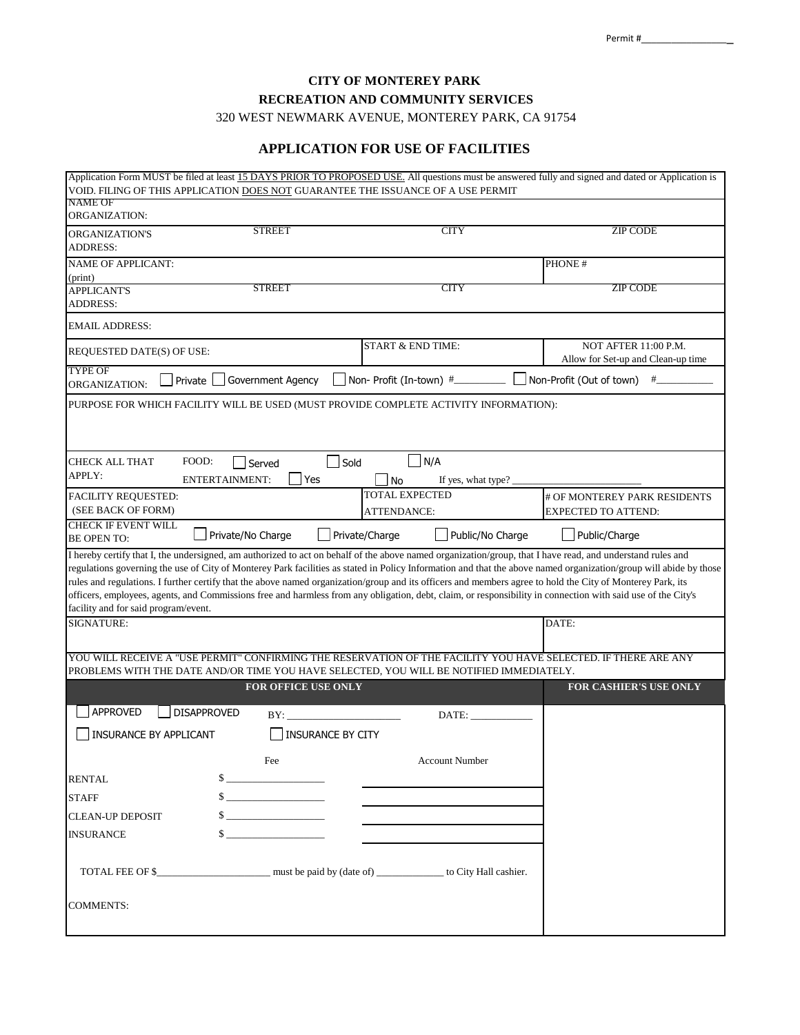**CITY OF MONTEREY PARK RECREATION AND COMMUNITY SERVICES** 320 WEST NEWMARK AVENUE, MONTEREY PARK, CA 91754

#### **APPLICATION FOR USE OF FACILITIES**

|                                                  |                           | Application Form MUST be filed at least 15 DAYS PRIOR TO PROPOSED USE. All questions must be answered fully and signed and dated or Application is<br>VOID. FILING OF THIS APPLICATION DOES NOT GUARANTEE THE ISSUANCE OF A USE PERMIT                                                                                                                                                                                                                                                                                                                                                                                                                        |                                                            |
|--------------------------------------------------|---------------------------|---------------------------------------------------------------------------------------------------------------------------------------------------------------------------------------------------------------------------------------------------------------------------------------------------------------------------------------------------------------------------------------------------------------------------------------------------------------------------------------------------------------------------------------------------------------------------------------------------------------------------------------------------------------|------------------------------------------------------------|
| NAME OF                                          |                           |                                                                                                                                                                                                                                                                                                                                                                                                                                                                                                                                                                                                                                                               |                                                            |
| ORGANIZATION:                                    |                           |                                                                                                                                                                                                                                                                                                                                                                                                                                                                                                                                                                                                                                                               |                                                            |
| ORGANIZATION'S<br><b>ADDRESS:</b>                | <b>STREET</b>             | <b>CITY</b>                                                                                                                                                                                                                                                                                                                                                                                                                                                                                                                                                                                                                                                   | <b>ZIP CODE</b>                                            |
| <b>NAME OF APPLICANT:</b>                        |                           |                                                                                                                                                                                                                                                                                                                                                                                                                                                                                                                                                                                                                                                               | PHONE #                                                    |
| (print)<br><b>APPLICANT'S</b>                    | STREET                    | CITY                                                                                                                                                                                                                                                                                                                                                                                                                                                                                                                                                                                                                                                          | ZIP CODE                                                   |
| <b>ADDRESS:</b>                                  |                           |                                                                                                                                                                                                                                                                                                                                                                                                                                                                                                                                                                                                                                                               |                                                            |
| EMAIL ADDRESS:                                   |                           |                                                                                                                                                                                                                                                                                                                                                                                                                                                                                                                                                                                                                                                               |                                                            |
| REQUESTED DATE(S) OF USE:                        |                           | <b>START &amp; END TIME:</b>                                                                                                                                                                                                                                                                                                                                                                                                                                                                                                                                                                                                                                  | NOT AFTER 11:00 P.M.<br>Allow for Set-up and Clean-up time |
| TYPE OF<br>Private<br>ORGANIZATION:              | <b>Government Agency</b>  | Non- Profit (In-town) #_____                                                                                                                                                                                                                                                                                                                                                                                                                                                                                                                                                                                                                                  | Non-Profit (Out of town)<br>#                              |
|                                                  |                           | PURPOSE FOR WHICH FACILITY WILL BE USED (MUST PROVIDE COMPLETE ACTIVITY INFORMATION):                                                                                                                                                                                                                                                                                                                                                                                                                                                                                                                                                                         |                                                            |
|                                                  |                           |                                                                                                                                                                                                                                                                                                                                                                                                                                                                                                                                                                                                                                                               |                                                            |
| CHECK ALL THAT                                   | FOOD:<br>Served           | N/A<br>Sold                                                                                                                                                                                                                                                                                                                                                                                                                                                                                                                                                                                                                                                   |                                                            |
| APPLY:                                           | <b>ENTERTAINMENT:</b>     | Yes<br><b>No</b><br>If yes, what type?                                                                                                                                                                                                                                                                                                                                                                                                                                                                                                                                                                                                                        |                                                            |
| <b>FACILITY REQUESTED:</b>                       |                           | <b>TOTAL EXPECTED</b>                                                                                                                                                                                                                                                                                                                                                                                                                                                                                                                                                                                                                                         | # OF MONTEREY PARK RESIDENTS                               |
| (SEE BACK OF FORM)                               |                           | ATTENDANCE:                                                                                                                                                                                                                                                                                                                                                                                                                                                                                                                                                                                                                                                   | <b>EXPECTED TO ATTEND:</b>                                 |
| <b>CHECK IF EVENT WILL</b><br><b>BE OPEN TO:</b> | Private/No Charge         | Private/Charge<br>Public/No Charge                                                                                                                                                                                                                                                                                                                                                                                                                                                                                                                                                                                                                            | Public/Charge                                              |
| facility and for said program/event.             |                           | I hereby certify that I, the undersigned, am authorized to act on behalf of the above named organization/group, that I have read, and understand rules and<br>regulations governing the use of City of Monterey Park facilities as stated in Policy Information and that the above named organization/group will abide by those<br>rules and regulations. I further certify that the above named organization/group and its officers and members agree to hold the City of Monterey Park, its<br>officers, employees, agents, and Commissions free and harmless from any obligation, debt, claim, or responsibility in connection with said use of the City's |                                                            |
| SIGNATURE:                                       |                           |                                                                                                                                                                                                                                                                                                                                                                                                                                                                                                                                                                                                                                                               | DATE:                                                      |
|                                                  |                           | YOU WILL RECEIVE A "USE PERMIT" CONFIRMING THE RESERVATION OF THE FACILITY YOU HAVE SELECTED. IF THERE ARE ANY                                                                                                                                                                                                                                                                                                                                                                                                                                                                                                                                                |                                                            |
|                                                  |                           | PROBLEMS WITH THE DATE AND/OR TIME YOU HAVE SELECTED, YOU WILL BE NOTIFIED IMMEDIATELY.                                                                                                                                                                                                                                                                                                                                                                                                                                                                                                                                                                       |                                                            |
|                                                  | FOR OFFICE USE ONLY       |                                                                                                                                                                                                                                                                                                                                                                                                                                                                                                                                                                                                                                                               | FOR CASHIER'S USE ONLY                                     |
| <b>APPROVED</b>                                  | <b>DISAPPROVED</b><br>BY: | DATE:                                                                                                                                                                                                                                                                                                                                                                                                                                                                                                                                                                                                                                                         |                                                            |
| <b>INSURANCE BY APPLICANT</b>                    |                           | <b>INSURANCE BY CITY</b>                                                                                                                                                                                                                                                                                                                                                                                                                                                                                                                                                                                                                                      |                                                            |
|                                                  | Fee                       | <b>Account Number</b>                                                                                                                                                                                                                                                                                                                                                                                                                                                                                                                                                                                                                                         |                                                            |
| RENTAL                                           |                           |                                                                                                                                                                                                                                                                                                                                                                                                                                                                                                                                                                                                                                                               |                                                            |
| <b>STAFF</b>                                     |                           |                                                                                                                                                                                                                                                                                                                                                                                                                                                                                                                                                                                                                                                               |                                                            |
| <b>CLEAN-UP DEPOSIT</b>                          |                           |                                                                                                                                                                                                                                                                                                                                                                                                                                                                                                                                                                                                                                                               |                                                            |
| <b>INSURANCE</b>                                 | $\sim$                    |                                                                                                                                                                                                                                                                                                                                                                                                                                                                                                                                                                                                                                                               |                                                            |
|                                                  |                           | TOTAL FEE OF \$________________________ must be paid by (date of) _______________ to City Hall cashier.                                                                                                                                                                                                                                                                                                                                                                                                                                                                                                                                                       |                                                            |
| COMMENTS:                                        |                           |                                                                                                                                                                                                                                                                                                                                                                                                                                                                                                                                                                                                                                                               |                                                            |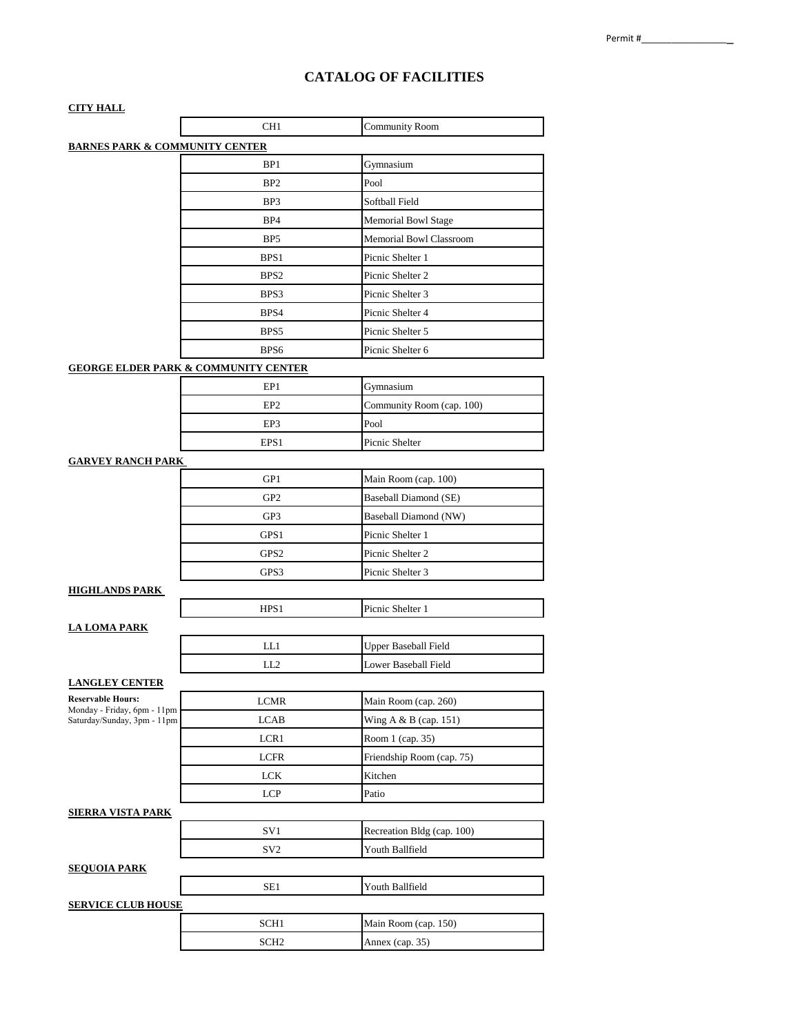# **CATALOG OF FACILITIES**

| <u>CITY HALL</u>                                        |                  |                                |
|---------------------------------------------------------|------------------|--------------------------------|
|                                                         | CH <sub>1</sub>  | <b>Community Room</b>          |
| <b>BARNES PARK &amp; COMMUNITY CENTER</b>               |                  |                                |
|                                                         | BP <sub>1</sub>  | Gymnasium                      |
|                                                         | BP <sub>2</sub>  | Pool                           |
|                                                         | BP3              | Softball Field                 |
|                                                         | BP4              | Memorial Bowl Stage            |
|                                                         | BP5              | <b>Memorial Bowl Classroom</b> |
|                                                         | BPS <sub>1</sub> | Picnic Shelter 1               |
|                                                         | BPS <sub>2</sub> | Picnic Shelter 2               |
|                                                         | BPS3             | Picnic Shelter 3               |
|                                                         | BPS4             | Picnic Shelter 4               |
|                                                         | BPS5             | Picnic Shelter 5               |
|                                                         | BPS <sub>6</sub> | Picnic Shelter 6               |
| <b>GEORGE ELDER PARK &amp; COMMUNITY CENTER</b>         |                  |                                |
|                                                         | EP1              | Gymnasium                      |
|                                                         | EP <sub>2</sub>  | Community Room (cap. 100)      |
|                                                         | EP3              | Pool                           |
|                                                         | EPS1             | Picnic Shelter                 |
| <b>GARVEY RANCH PARK</b>                                |                  |                                |
|                                                         | GP1              | Main Room (cap. 100)           |
|                                                         | GP <sub>2</sub>  | Baseball Diamond (SE)          |
|                                                         | GP3              | Baseball Diamond (NW)          |
|                                                         | GPS1             | Picnic Shelter 1               |
|                                                         | GPS <sub>2</sub> | Picnic Shelter 2               |
|                                                         | GPS3             | Picnic Shelter 3               |
| <u>HIGHLANDS PARK</u>                                   |                  |                                |
|                                                         | HPS1             | Picnic Shelter 1               |
| <u>LA LOMA PARK</u>                                     |                  |                                |
|                                                         | LL1              | <b>Upper Baseball Field</b>    |
|                                                         | LL2              | Lower Baseball Field           |
| <b>LANGLEY CENTER</b>                                   |                  |                                |
| <b>Reservable Hours:</b><br>Monday - Friday, 6pm - 11pm | <b>LCMR</b>      | Main Room (cap. 260)           |
| Saturday/Sunday, 3pm - 11pm                             | <b>LCAB</b>      | Wing A & B (cap. 151)          |
|                                                         | LCR1             | Room 1 (cap. 35)               |
|                                                         | <b>LCFR</b>      | Friendship Room (cap. 75)      |
|                                                         | <b>LCK</b>       | Kitchen                        |
|                                                         | <b>LCP</b>       | Patio                          |
| SIERRA VISTA PARK                                       |                  |                                |
|                                                         | SV1              | Recreation Bldg (cap. 100)     |
|                                                         | SV <sub>2</sub>  | Youth Ballfield                |
| <b>SEQUOIA PARK</b>                                     |                  |                                |
|                                                         | SE1              | Youth Ballfield                |
| <u>SERVICE CLUB HOUSE</u>                               |                  |                                |
|                                                         | SCH1             | Main Room (cap. 150)           |
|                                                         | SCH <sub>2</sub> | Annex (cap. 35)                |
|                                                         |                  |                                |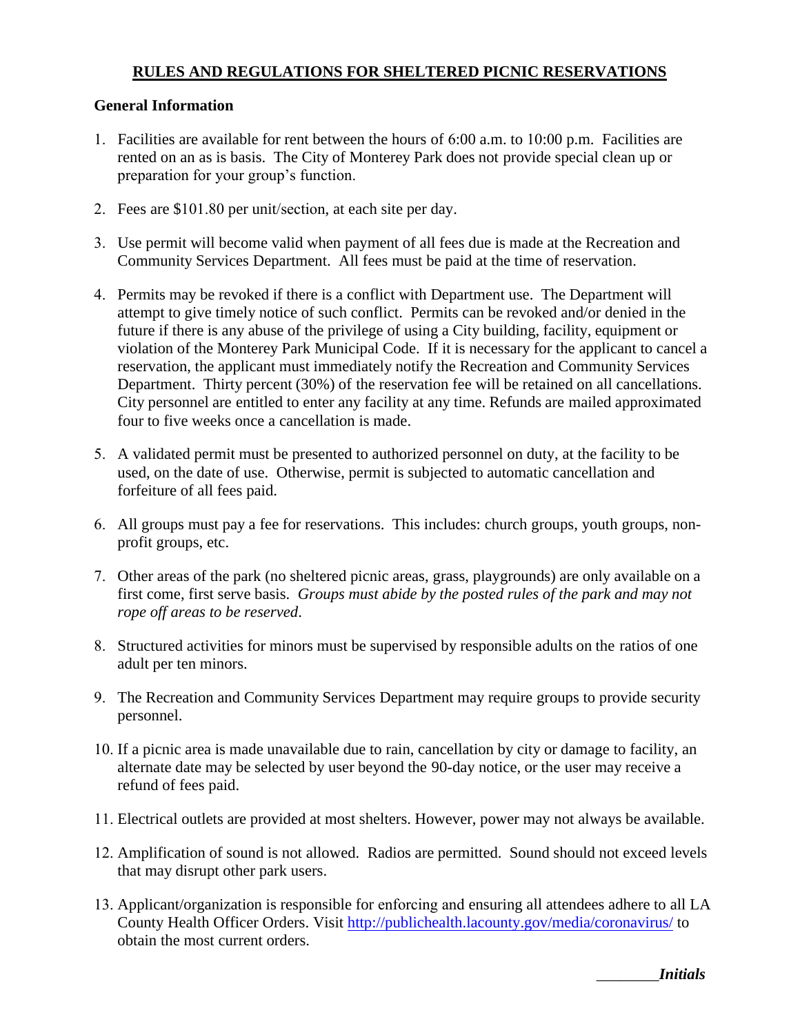## **RULES AND REGULATIONS FOR SHELTERED PICNIC RESERVATIONS**

#### **General Information**

- 1. Facilities are available for rent between the hours of 6:00 a.m. to 10:00 p.m. Facilities are rented on an as is basis. The City of Monterey Park does not provide special clean up or preparation for your group's function.
- 2. Fees are \$101.80 per unit/section, at each site per day.
- 3. Use permit will become valid when payment of all fees due is made at the Recreation and Community Services Department. All fees must be paid at the time of reservation.
- 4. Permits may be revoked if there is a conflict with Department use. The Department will attempt to give timely notice of such conflict. Permits can be revoked and/or denied in the future if there is any abuse of the privilege of using a City building, facility, equipment or violation of the Monterey Park Municipal Code. If it is necessary for the applicant to cancel a reservation, the applicant must immediately notify the Recreation and Community Services Department. Thirty percent (30%) of the reservation fee will be retained on all cancellations. City personnel are entitled to enter any facility at any time. Refunds are mailed approximated four to five weeks once a cancellation is made.
- 5. A validated permit must be presented to authorized personnel on duty, at the facility to be used, on the date of use. Otherwise, permit is subjected to automatic cancellation and forfeiture of all fees paid.
- 6. All groups must pay a fee for reservations. This includes: church groups, youth groups, nonprofit groups, etc.
- 7. Other areas of the park (no sheltered picnic areas, grass, playgrounds) are only available on a first come, first serve basis. *Groups must abide by the posted rules of the park and may not rope off areas to be reserved*.
- 8. Structured activities for minors must be supervised by responsible adults on the ratios of one adult per ten minors.
- 9. The Recreation and Community Services Department may require groups to provide security personnel.
- 10. If a picnic area is made unavailable due to rain, cancellation by city or damage to facility, an alternate date may be selected by user beyond the 90-day notice, or the user may receive a refund of fees paid.
- 11. Electrical outlets are provided at most shelters. However, power may not always be available.
- 12. Amplification of sound is not allowed. Radios are permitted. Sound should not exceed levels that may disrupt other park users.
- 13. Applicant/organization is responsible for enforcing and ensuring all attendees adhere to all LA County Health Officer Orders. Visi[t http://publichealth.lacounty.gov/media/coronavirus/](http://publichealth.lacounty.gov/media/coronavirus/) to obtain the most current orders.

\_\_\_\_\_\_\_\_*Initials*